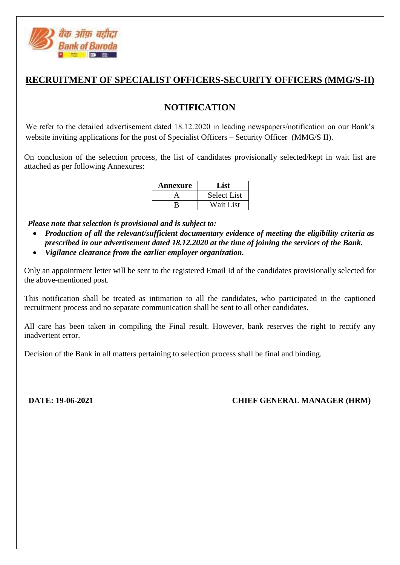

## **RECRUITMENT OF SPECIALIST OFFICERS-SECURITY OFFICERS (MMG/S-II)**

## **NOTIFICATION**

We refer to the detailed advertisement dated 18.12.2020 in leading newspapers/notification on our Bank's website inviting applications for the post of Specialist Officers – Security Officer (MMG/S II).

On conclusion of the selection process, the list of candidates provisionally selected/kept in wait list are attached as per following Annexures:

| Annexure | List               |
|----------|--------------------|
|          | <b>Select List</b> |
|          | Wait List          |

 *Please note that selection is provisional and is subject to:*

- *Production of all the relevant/sufficient documentary evidence of meeting the eligibility criteria as prescribed in our advertisement dated 18.12.2020 at the time of joining the services of the Bank.*
- *Vigilance clearance from the earlier employer organization.*

Only an appointment letter will be sent to the registered Email Id of the candidates provisionally selected for the above-mentioned post.

This notification shall be treated as intimation to all the candidates, who participated in the captioned recruitment process and no separate communication shall be sent to all other candidates.

All care has been taken in compiling the Final result. However, bank reserves the right to rectify any inadvertent error.

Decision of the Bank in all matters pertaining to selection process shall be final and binding.

**DATE: 19-06-2021 CHIEF GENERAL MANAGER (HRM)**